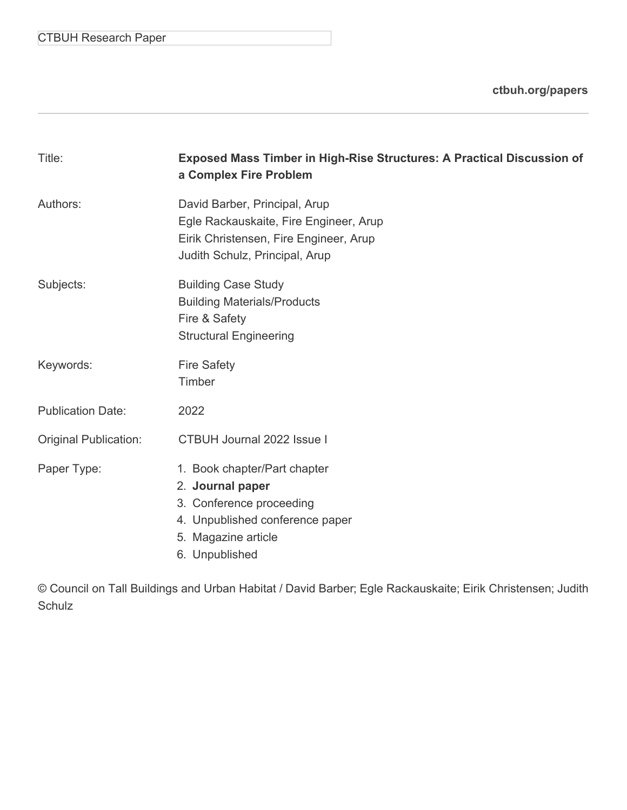CTBUH Research Paper

**[ctbuh.org/papers](http://ctbuh.org/papers)**

| Title:                       | <b>Exposed Mass Timber in High-Rise Structures: A Practical Discussion of</b><br>a Complex Fire Problem                                                  |  |  |  |
|------------------------------|----------------------------------------------------------------------------------------------------------------------------------------------------------|--|--|--|
| Authors:                     | David Barber, Principal, Arup<br>Egle Rackauskaite, Fire Engineer, Arup<br>Eirik Christensen, Fire Engineer, Arup<br>Judith Schulz, Principal, Arup      |  |  |  |
| Subjects:                    | <b>Building Case Study</b><br><b>Building Materials/Products</b><br>Fire & Safety<br><b>Structural Engineering</b>                                       |  |  |  |
| Keywords:                    | <b>Fire Safety</b><br>Timber                                                                                                                             |  |  |  |
| <b>Publication Date:</b>     | 2022                                                                                                                                                     |  |  |  |
| <b>Original Publication:</b> | <b>CTBUH Journal 2022 Issue I</b>                                                                                                                        |  |  |  |
| Paper Type:                  | 1. Book chapter/Part chapter<br>2. Journal paper<br>3. Conference proceeding<br>4. Unpublished conference paper<br>5. Magazine article<br>6. Unpublished |  |  |  |

© Council on Tall Buildings and Urban Habitat / David Barber; Egle Rackauskaite; Eirik Christensen; Judith Schulz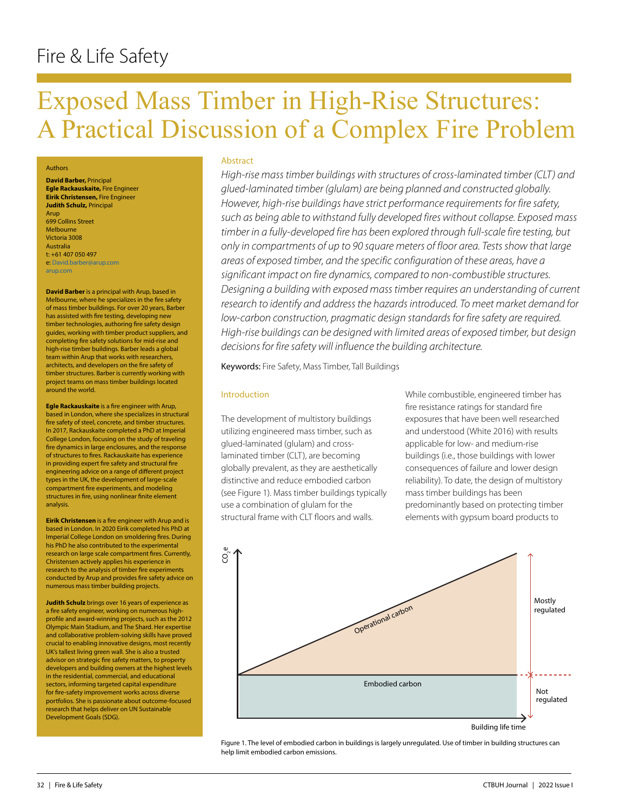# Fire & Life Safety

# Exposed Mass Timber in High-Rise Structures: A Practical Discussion of a Complex Fire Problem

#### Authors

**David Barber,** Principal **Egle Rackauskaite,** Fire Engineer **Eirik Christensen,** Fire Engineer **Judith Schulz,** Principal Arup 699 Collins Street Melbourne Victoria 3008 Australia t: +61 407 050 497 e: David.barber@arup.com arup.com

**David Barber** is a principal with Arup, based in Melbourne, where he specializes in the fire safety of mass timber buildings. For over 20 years, Barber has assisted with fire testing, developing new timber technologies, authoring fire safety design guides, working with timber product suppliers, and completing fire safety solutions for mid-rise and high-rise timber buildings. Barber leads a global team within Arup that works with researchers, architects, and developers on the fire safety of timber structures. Barber is currently working with project teams on mass timber buildings located around the world.

**Egle Rackauskaite** is a fire engineer with Arup, based in London, where she specializes in structural fire safety of steel, concrete, and timber structures. In 2017, Rackauskaite completed a PhD at Imperial College London, focusing on the study of traveling fire dynamics in large enclosures, and the response of structures to fires. Rackauskaite has experience in providing expert fire safety and structural fire engineering advice on a range of different project types in the UK, the development of large-scale compartment fire experiments, and modeling structures in fire, using nonlinear finite element analysis.

**Eirik Christensen** is a fire engineer with Arup and is based in London. In 2020 Eirik completed his PhD at Imperial College London on smoldering fires. During his PhD he also contributed to the experimental research on large scale compartment fires. Currently, Christensen actively applies his experience in research to the analysis of timber fire experiments conducted by Arup and provides fire safety advice on numerous mass timber building projects.

**Judith Schulz** brings over 16 years of experience as a fire safety engineer, working on numerous highprofile and award-winning projects, such as the 2012 Olympic Main Stadium, and The Shard. Her expertise and collaborative problem-solving skills have proved crucial to enabling innovative designs, most recently UK's tallest living green wall. She is also a trusted advisor on strategic fire safety matters, to property developers and building owners at the highest levels in the residential, commercial, and educational sectors, informing targeted capital expenditure for fire-safety improvement works across diverse portfolios. She is passionate about outcome-focused research that helps deliver on UN Sustainable Development Goals (SDG).

#### **Abstract**

*High-rise mass timber buildings with structures of cross-laminated timber (CLT) and glued-laminated timber (glulam) are being planned and constructed globally. However, high-rise buildings have strict performance requirements for fire safety, such as being able to withstand fully developed fires without collapse. Exposed mass timber in a fully-developed fire has been explored through full-scale fire testing, but only in compartments of up to 90 square meters of floor area. Tests show that large areas of exposed timber, and the specific configuration of these areas, have a significant impact on fire dynamics, compared to non-combustible structures. Designing a building with exposed mass timber requires an understanding of current research to identify and address the hazards introduced. To meet market demand for low-carbon construction, pragmatic design standards for fire safety are required. High-rise buildings can be designed with limited areas of exposed timber, but design decisions for fire safety will influence the building architecture.* 

Keywords: Fire Safety, Mass Timber, Tall Buildings

#### Introduction

The development of multistory buildings utilizing engineered mass timber, such as glued-laminated (glulam) and crosslaminated timber (CLT), are becoming globally prevalent, as they are aesthetically distinctive and reduce embodied carbon (see Figure 1). Mass timber buildings typically use a combination of glulam for the structural frame with CLT floors and walls.

While combustible, engineered timber has fire resistance ratings for standard fire exposures that have been well researched and understood (White 2016) with results applicable for low- and medium-rise buildings (i.e., those buildings with lower consequences of failure and lower design reliability). To date, the design of multistory mass timber buildings has been predominantly based on protecting timber elements with gypsum board products to



Figure 1. The level of embodied carbon in buildings is largely unregulated. Use of timber in building structures can help limit embodied carbon emissions.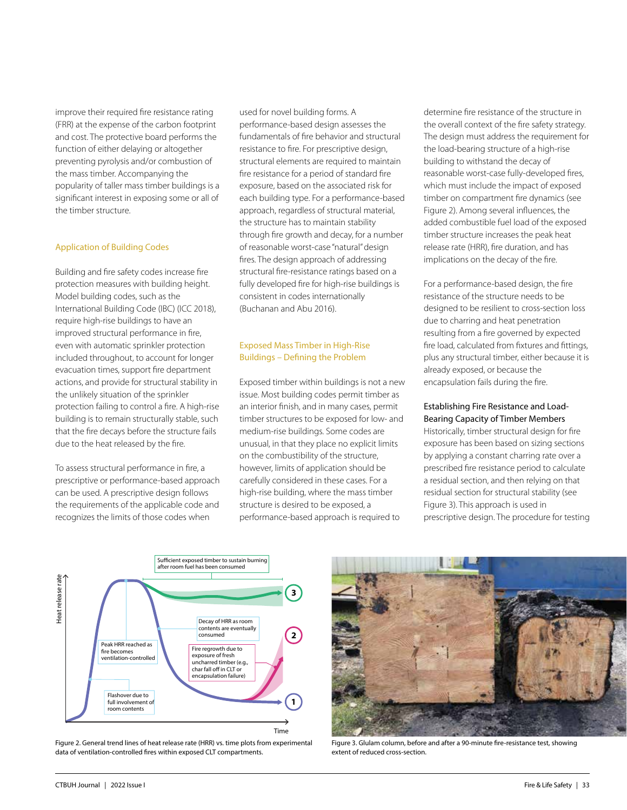improve their required fire resistance rating (FRR) at the expense of the carbon footprint and cost. The protective board performs the function of either delaying or altogether preventing pyrolysis and/or combustion of the mass timber. Accompanying the popularity of taller mass timber buildings is a significant interest in exposing some or all of the timber structure.

#### Application of Building Codes

Building and fire safety codes increase fire protection measures with building height. Model building codes, such as the International Building Code (IBC) (ICC 2018), require high-rise buildings to have an improved structural performance in fire, even with automatic sprinkler protection included throughout, to account for longer evacuation times, support fire department actions, and provide for structural stability in the unlikely situation of the sprinkler protection failing to control a fire. A high-rise building is to remain structurally stable, such that the fire decays before the structure fails due to the heat released by the fire.

To assess structural performance in fire, a prescriptive or performance-based approach can be used. A prescriptive design follows the requirements of the applicable code and recognizes the limits of those codes when

used for novel building forms. A performance-based design assesses the fundamentals of fire behavior and structural resistance to fire. For prescriptive design, structural elements are required to maintain fire resistance for a period of standard fire exposure, based on the associated risk for each building type. For a performance-based approach, regardless of structural material, the structure has to maintain stability through fire growth and decay, for a number of reasonable worst-case "natural" design fires. The design approach of addressing structural fire-resistance ratings based on a fully developed fire for high-rise buildings is consistent in codes internationally (Buchanan and Abu 2016).

# Exposed Mass Timber in High-Rise Buildings – Defining the Problem

Exposed timber within buildings is not a new issue. Most building codes permit timber as an interior finish, and in many cases, permit timber structures to be exposed for low- and medium-rise buildings. Some codes are unusual, in that they place no explicit limits on the combustibility of the structure, however, limits of application should be carefully considered in these cases. For a high-rise building, where the mass timber structure is desired to be exposed, a performance-based approach is required to

determine fire resistance of the structure in the overall context of the fire safety strategy. The design must address the requirement for the load-bearing structure of a high-rise building to withstand the decay of reasonable worst-case fully-developed fires, which must include the impact of exposed timber on compartment fire dynamics (see Figure 2). Among several influences, the added combustible fuel load of the exposed timber structure increases the peak heat release rate (HRR), fire duration, and has implications on the decay of the fire.

For a performance-based design, the fire resistance of the structure needs to be designed to be resilient to cross-section loss due to charring and heat penetration resulting from a fire governed by expected fire load, calculated from fixtures and fittings, plus any structural timber, either because it is already exposed, or because the encapsulation fails during the fire.

#### Establishing Fire Resistance and Load-Bearing Capacity of Timber Members

Historically, timber structural design for fire exposure has been based on sizing sections by applying a constant charring rate over a prescribed fire resistance period to calculate a residual section, and then relying on that residual section for structural stability (see Figure 3). This approach is used in prescriptive design. The procedure for testing



Figure 2. General trend lines of heat release rate (HRR) vs. time plots from experimental data of ventilation-controlled fires within exposed CLT compartments.



Figure 3. Glulam column, before and after a 90-minute fire-resistance test, showing extent of reduced cross-section.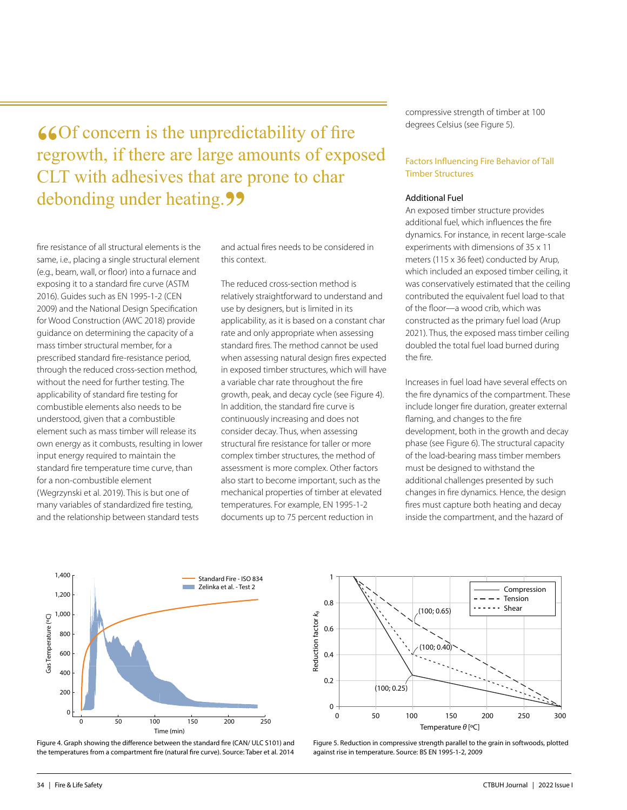**66**Of concern is the unpredictability of fire regrowth, if there are large amounts of exposed CLT with adhesives that are prone to char debonding under heating.<sup>99</sup>

fire resistance of all structural elements is the same, i.e., placing a single structural element (e.g., beam, wall, or floor) into a furnace and exposing it to a standard fire curve (ASTM 2016). Guides such as EN 1995-1-2 (CEN 2009) and the National Design Specification for Wood Construction (AWC 2018) provide guidance on determining the capacity of a mass timber structural member, for a prescribed standard fire-resistance period, through the reduced cross-section method, without the need for further testing. The applicability of standard fire testing for combustible elements also needs to be understood, given that a combustible element such as mass timber will release its own energy as it combusts, resulting in lower input energy required to maintain the standard fire temperature time curve, than for a non-combustible element (Wegrzynski et al. 2019). This is but one of many variables of standardized fire testing, and the relationship between standard tests

and actual fires needs to be considered in this context.

The reduced cross-section method is relatively straightforward to understand and use by designers, but is limited in its applicability, as it is based on a constant char rate and only appropriate when assessing standard fires. The method cannot be used when assessing natural design fires expected in exposed timber structures, which will have a variable char rate throughout the fire growth, peak, and decay cycle (see Figure 4). In addition, the standard fire curve is continuously increasing and does not consider decay. Thus, when assessing structural fire resistance for taller or more complex timber structures, the method of assessment is more complex. Other factors also start to become important, such as the mechanical properties of timber at elevated temperatures. For example, EN 1995-1-2 documents up to 75 percent reduction in

compressive strength of timber at 100 degrees Celsius (see Figure 5).

# Factors Influencing Fire Behavior of Tall Timber Structures

#### Additional Fuel

An exposed timber structure provides additional fuel, which influences the fire dynamics. For instance, in recent large-scale experiments with dimensions of 35 x 11 meters (115 x 36 feet) conducted by Arup, which included an exposed timber ceiling, it was conservatively estimated that the ceiling contributed the equivalent fuel load to that of the floor—a wood crib, which was constructed as the primary fuel load (Arup 2021). Thus, the exposed mass timber ceiling doubled the total fuel load burned during the fire.

Increases in fuel load have several effects on the fire dynamics of the compartment. These include longer fire duration, greater external flaming, and changes to the fire development, both in the growth and decay phase (see Figure 6). The structural capacity of the load-bearing mass timber members must be designed to withstand the additional challenges presented by such changes in fire dynamics. Hence, the design fires must capture both heating and decay inside the compartment, and the hazard of



Figure 4. Graph showing the difference between the standard fire (CAN/ ULC S101) and the temperatures from a compartment fire (natural fire curve). Source: Taber et al. 2014



Figure 5. Reduction in compressive strength parallel to the grain in softwoods, plotted against rise in temperature. Source: BS EN 1995-1-2, 2009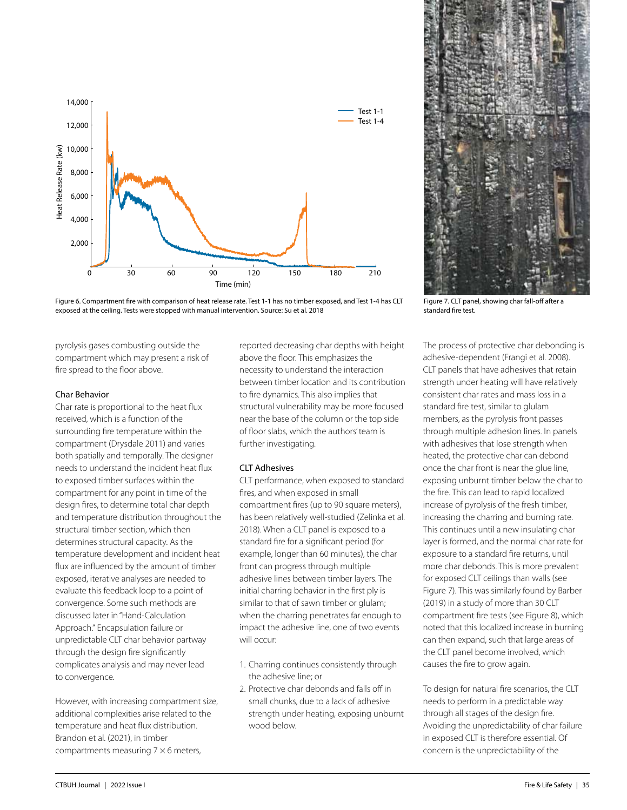

Figure 6. Compartment fire with comparison of heat release rate. Test 1-1 has no timber exposed, and Test 1-4 has CLT exposed at the ceiling. Tests were stopped with manual intervention. Source: Su et al. 2018

pyrolysis gases combusting outside the compartment which may present a risk of fire spread to the floor above.

#### Char Behavior

Char rate is proportional to the heat flux received, which is a function of the surrounding fire temperature within the compartment (Drysdale 2011) and varies both spatially and temporally. The designer needs to understand the incident heat flux to exposed timber surfaces within the compartment for any point in time of the design fires, to determine total char depth and temperature distribution throughout the structural timber section, which then determines structural capacity. As the temperature development and incident heat flux are influenced by the amount of timber exposed, iterative analyses are needed to evaluate this feedback loop to a point of convergence. Some such methods are discussed later in "Hand-Calculation Approach." Encapsulation failure or unpredictable CLT char behavior partway through the design fire significantly complicates analysis and may never lead to convergence.

However, with increasing compartment size, additional complexities arise related to the temperature and heat flux distribution. Brandon et al. (2021), in timber compartments measuring  $7 \times 6$  meters,

reported decreasing char depths with height above the floor. This emphasizes the necessity to understand the interaction between timber location and its contribution to fire dynamics. This also implies that structural vulnerability may be more focused near the base of the column or the top side of floor slabs, which the authors' team is further investigating.

### CLT Adhesives

CLT performance, when exposed to standard fires, and when exposed in small compartment fires (up to 90 square meters), has been relatively well-studied (Zelinka et al. 2018). When a CLT panel is exposed to a standard fire for a significant period (for example, longer than 60 minutes), the char front can progress through multiple adhesive lines between timber layers. The initial charring behavior in the first ply is similar to that of sawn timber or glulam; when the charring penetrates far enough to impact the adhesive line, one of two events will occur:

- 1. Charring continues consistently through the adhesive line; or
- 2. Protective char debonds and falls off in small chunks, due to a lack of adhesive strength under heating, exposing unburnt wood below.



Figure 7. CLT panel, showing char fall-off after a standard fire test.

The process of protective char debonding is adhesive-dependent (Frangi et al. 2008). CLT panels that have adhesives that retain strength under heating will have relatively consistent char rates and mass loss in a standard fire test, similar to glulam members, as the pyrolysis front passes through multiple adhesion lines. In panels with adhesives that lose strength when heated, the protective char can debond once the char front is near the glue line, exposing unburnt timber below the char to the fire. This can lead to rapid localized increase of pyrolysis of the fresh timber, increasing the charring and burning rate. This continues until a new insulating char layer is formed, and the normal char rate for exposure to a standard fire returns, until more char debonds. This is more prevalent for exposed CLT ceilings than walls (see Figure 7). This was similarly found by Barber (2019) in a study of more than 30 CLT compartment fire tests (see Figure 8), which noted that this localized increase in burning can then expand, such that large areas of the CLT panel become involved, which causes the fire to grow again.

To design for natural fire scenarios, the CLT needs to perform in a predictable way through all stages of the design fire. Avoiding the unpredictability of char failure in exposed CLT is therefore essential. Of concern is the unpredictability of the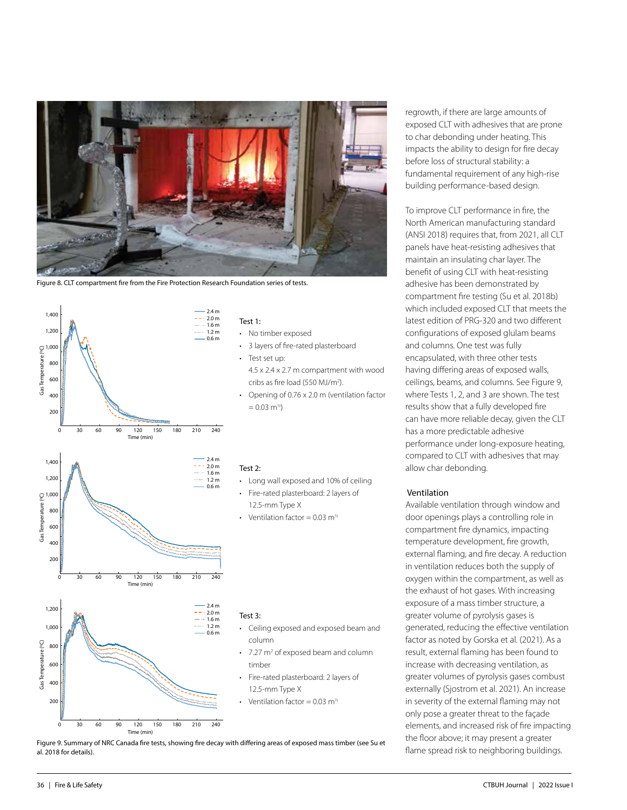

Figure 8. CLT compartment fire from the Fire Protection Research Foundation series of tests.



0 30 60 90 120 150 180 210 240 Time (min)

#### Test 1:

- No timber exposed
- 3 layers of fire-rated plasterboard
- Test set up: 4.5 x 2.4 x 2.7 m compartment with wood cribs as fire load (550 MJ/m2 ).
- Opening of 0.76 x 2.0 m (ventilation factor  $= 0.03$  m<sup>1/2</sup>)

#### Test 2:

- Long wall exposed and 10% of ceiling
- Fire-rated plasterboard: 2 layers of 12.5-mm Type X
- Ventilation factor =  $0.03$  m<sup>1/2</sup>

#### Test 3:

- Ceiling exposed and exposed beam and column
- $\cdot$  7.27 m<sup>2</sup> of exposed beam and column timber
- Fire-rated plasterboard: 2 layers of 12.5-mm Type X

Ventilation factor =  $0.03$  m<sup>1/2</sup>

Figure 9. Summary of NRC Canada fire tests, showing fire decay with differing areas of exposed mass timber (see Su et al. 2018 for details).

regrowth, if there are large amounts of exposed CLT with adhesives that are prone to char debonding under heating. This impacts the ability to design for fire decay before loss of structural stability: a fundamental requirement of any high-rise building performance-based design.

To improve CLT performance in fire, the North American manufacturing standard (ANSI 2018) requires that, from 2021, all CLT panels have heat-resisting adhesives that maintain an insulating char layer. The benefit of using CLT with heat-resisting adhesive has been demonstrated by compartment fire testing (Su et al. 2018b) which included exposed CLT that meets the latest edition of PRG-320 and two different configurations of exposed glulam beams and columns. One test was fully encapsulated, with three other tests having differing areas of exposed walls, ceilings, beams, and columns. See Figure 9, where Tests 1, 2, and 3 are shown. The test results show that a fully developed fire can have more reliable decay, given the CLT has a more predictable adhesive performance under long-exposure heating, compared to CLT with adhesives that may allow char debonding.

#### Ventilation

Available ventilation through window and door openings plays a controlling role in compartment fire dynamics, impacting temperature development, fire growth, external flaming, and fire decay. A reduction in ventilation reduces both the supply of oxygen within the compartment, as well as the exhaust of hot gases. With increasing exposure of a mass timber structure, a greater volume of pyrolysis gases is generated, reducing the effective ventilation factor as noted by Gorska et al. (2021). As a result, external flaming has been found to increase with decreasing ventilation, as greater volumes of pyrolysis gases combust externally (Sjostrom et al. 2021). An increase in severity of the external flaming may not only pose a greater threat to the façade elements, and increased risk of fire impacting the floor above; it may present a greater flame spread risk to neighboring buildings.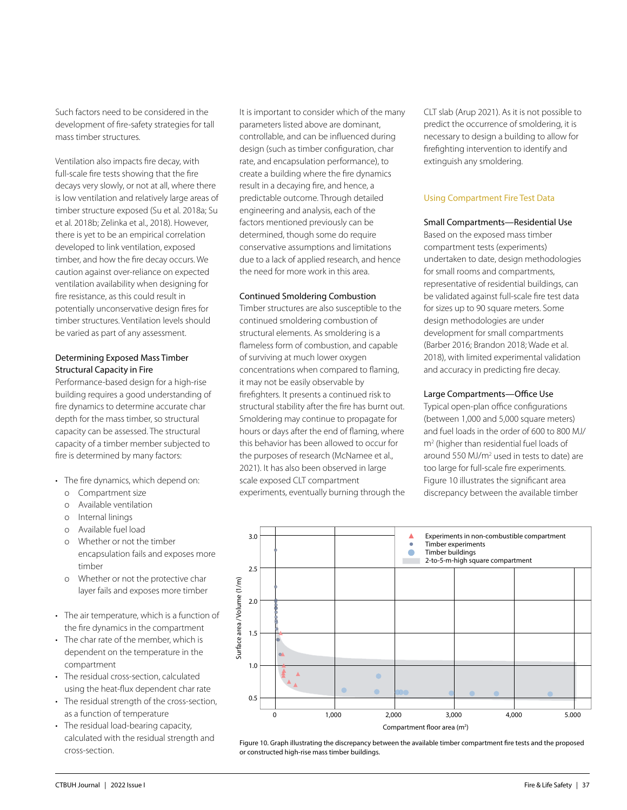Such factors need to be considered in the development of fire-safety strategies for tall mass timber structures.

Ventilation also impacts fire decay, with full-scale fire tests showing that the fire decays very slowly, or not at all, where there is low ventilation and relatively large areas of timber structure exposed (Su et al. 2018a; Su et al. 2018b; Zelinka et al., 2018). However, there is yet to be an empirical correlation developed to link ventilation, exposed timber, and how the fire decay occurs. We caution against over-reliance on expected ventilation availability when designing for fire resistance, as this could result in potentially unconservative design fires for timber structures. Ventilation levels should be varied as part of any assessment.

# Determining Exposed Mass Timber Structural Capacity in Fire

Performance-based design for a high-rise building requires a good understanding of fire dynamics to determine accurate char depth for the mass timber, so structural capacity can be assessed. The structural capacity of a timber member subjected to fire is determined by many factors:

- The fire dynamics, which depend on:
	- o Compartment size
	- o Available ventilation
	- o Internal linings
	- o Available fuel load
	- o Whether or not the timber encapsulation fails and exposes more timber
	- o Whether or not the protective char layer fails and exposes more timber
- The air temperature, which is a function of the fire dynamics in the compartment
- The char rate of the member, which is dependent on the temperature in the compartment
- The residual cross-section, calculated using the heat-flux dependent char rate
- The residual strength of the cross-section, as a function of temperature
- The residual load-bearing capacity, calculated with the residual strength and cross-section.

It is important to consider which of the many parameters listed above are dominant, controllable, and can be influenced during design (such as timber configuration, char rate, and encapsulation performance), to create a building where the fire dynamics result in a decaying fire, and hence, a predictable outcome. Through detailed engineering and analysis, each of the factors mentioned previously can be determined, though some do require conservative assumptions and limitations due to a lack of applied research, and hence the need for more work in this area.

#### Continued Smoldering Combustion

Timber structures are also susceptible to the continued smoldering combustion of structural elements. As smoldering is a flameless form of combustion, and capable of surviving at much lower oxygen concentrations when compared to flaming, it may not be easily observable by firefighters. It presents a continued risk to structural stability after the fire has burnt out. Smoldering may continue to propagate for hours or days after the end of flaming, where this behavior has been allowed to occur for the purposes of research (McNamee et al., 2021). It has also been observed in large scale exposed CLT compartment experiments, eventually burning through the CLT slab (Arup 2021). As it is not possible to predict the occurrence of smoldering, it is necessary to design a building to allow for firefighting intervention to identify and extinguish any smoldering.

# Using Compartment Fire Test Data

# Small Compartments—Residential Use

Based on the exposed mass timber compartment tests (experiments) undertaken to date, design methodologies for small rooms and compartments, representative of residential buildings, can be validated against full-scale fire test data for sizes up to 90 square meters. Some design methodologies are under development for small compartments (Barber 2016; Brandon 2018; Wade et al. 2018), with limited experimental validation and accuracy in predicting fire decay.

# Large Compartments—Office Use

Typical open-plan office configurations (between 1,000 and 5,000 square meters) and fuel loads in the order of 600 to 800 MJ/ m2 (higher than residential fuel loads of around 550 MJ/m<sup>2</sup> used in tests to date) are too large for full-scale fire experiments. Figure 10 illustrates the significant area discrepancy between the available timber



Figure 10. Graph illustrating the discrepancy between the available timber compartment fire tests and the proposed or constructed high-rise mass timber buildings.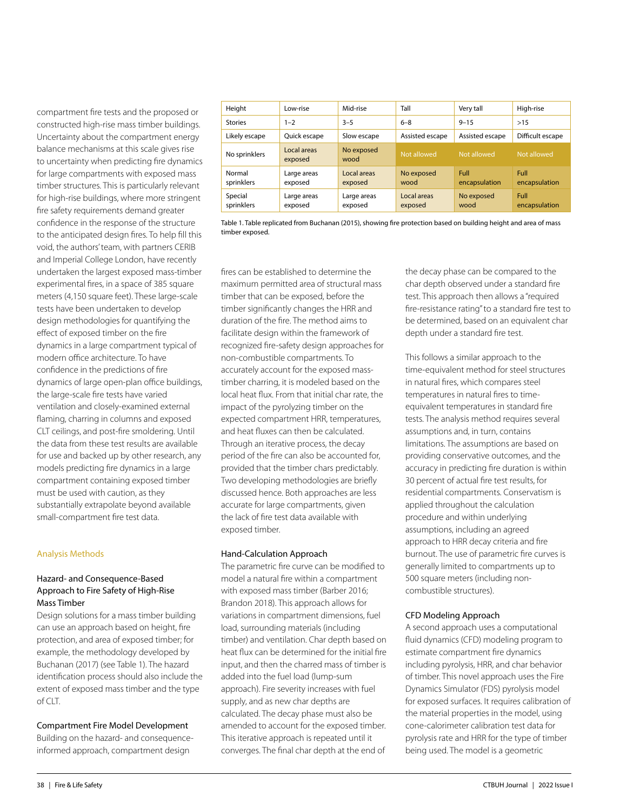compartment fire tests and the proposed or constructed high-rise mass timber buildings. Uncertainty about the compartment energy balance mechanisms at this scale gives rise to uncertainty when predicting fire dynamics for large compartments with exposed mass timber structures. This is particularly relevant for high-rise buildings, where more stringent fire safety requirements demand greater confidence in the response of the structure to the anticipated design fires. To help fill this void, the authors' team, with partners CERIB and Imperial College London, have recently undertaken the largest exposed mass-timber experimental fires, in a space of 385 square meters (4,150 square feet). These large-scale tests have been undertaken to develop design methodologies for quantifying the effect of exposed timber on the fire dynamics in a large compartment typical of modern office architecture. To have confidence in the predictions of fire dynamics of large open-plan office buildings, the large-scale fire tests have varied ventilation and closely-examined external flaming, charring in columns and exposed CLT ceilings, and post-fire smoldering. Until the data from these test results are available for use and backed up by other research, any models predicting fire dynamics in a large compartment containing exposed timber must be used with caution, as they substantially extrapolate beyond available small-compartment fire test data.

# Analysis Methods

# Hazard- and Consequence-Based Approach to Fire Safety of High-Rise Mass Timber

Design solutions for a mass timber building can use an approach based on height, fire protection, and area of exposed timber; for example, the methodology developed by Buchanan (2017) (see Table 1). The hazard identification process should also include the extent of exposed mass timber and the type of CLT.

# Compartment Fire Model Development

Building on the hazard- and consequenceinformed approach, compartment design

| Height                | Low-rise               | Mid-rise               | Tall                   | Very tall             | High-rise             |
|-----------------------|------------------------|------------------------|------------------------|-----------------------|-----------------------|
| <b>Stories</b>        | $1 - 2$                | $3 - 5$                | $6 - 8$                | $9 - 15$              | >15                   |
| Likely escape         | Quick escape           | Slow escape            | Assisted escape        | Assisted escape       | Difficult escape      |
| No sprinklers         | Local areas<br>exposed | No exposed<br>wood     | Not allowed            | Not allowed           | Not allowed           |
| Normal<br>sprinklers  | Large areas<br>exposed | Local areas<br>exposed | No exposed<br>wood     | Full<br>encapsulation | Full<br>encapsulation |
| Special<br>sprinklers | Large areas<br>exposed | Large areas<br>exposed | Local areas<br>exposed | No exposed<br>wood    | Full<br>encapsulation |

Table 1. Table replicated from Buchanan (2015), showing fire protection based on building height and area of mass timber exposed.

fires can be established to determine the maximum permitted area of structural mass timber that can be exposed, before the timber significantly changes the HRR and duration of the fire. The method aims to facilitate design within the framework of recognized fire-safety design approaches for non-combustible compartments. To accurately account for the exposed masstimber charring, it is modeled based on the local heat flux. From that initial char rate, the impact of the pyrolyzing timber on the expected compartment HRR, temperatures, and heat fluxes can then be calculated. Through an iterative process, the decay period of the fire can also be accounted for, provided that the timber chars predictably. Two developing methodologies are briefly discussed hence. Both approaches are less accurate for large compartments, given the lack of fire test data available with exposed timber.

# Hand-Calculation Approach

The parametric fire curve can be modified to model a natural fire within a compartment with exposed mass timber (Barber 2016; Brandon 2018). This approach allows for variations in compartment dimensions, fuel load, surrounding materials (including timber) and ventilation. Char depth based on heat flux can be determined for the initial fire input, and then the charred mass of timber is added into the fuel load (lump-sum approach). Fire severity increases with fuel supply, and as new char depths are calculated. The decay phase must also be amended to account for the exposed timber. This iterative approach is repeated until it converges. The final char depth at the end of

the decay phase can be compared to the char depth observed under a standard fire test. This approach then allows a "required fire-resistance rating" to a standard fire test to be determined, based on an equivalent char depth under a standard fire test.

This follows a similar approach to the time-equivalent method for steel structures in natural fires, which compares steel temperatures in natural fires to timeequivalent temperatures in standard fire tests. The analysis method requires several assumptions and, in turn, contains limitations. The assumptions are based on providing conservative outcomes, and the accuracy in predicting fire duration is within 30 percent of actual fire test results, for residential compartments. Conservatism is applied throughout the calculation procedure and within underlying assumptions, including an agreed approach to HRR decay criteria and fire burnout. The use of parametric fire curves is generally limited to compartments up to 500 square meters (including noncombustible structures).

# CFD Modeling Approach

A second approach uses a computational fluid dynamics (CFD) modeling program to estimate compartment fire dynamics including pyrolysis, HRR, and char behavior of timber. This novel approach uses the Fire Dynamics Simulator (FDS) pyrolysis model for exposed surfaces. It requires calibration of the material properties in the model, using cone-calorimeter calibration test data for pyrolysis rate and HRR for the type of timber being used. The model is a geometric